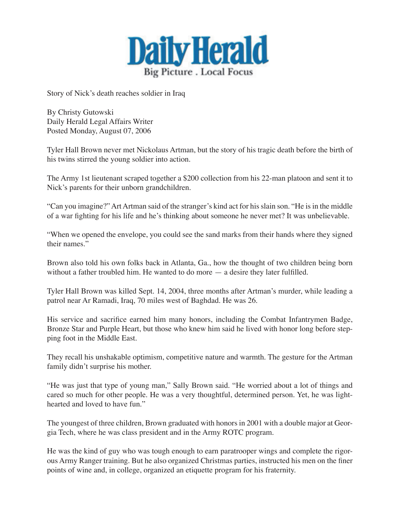

Story of Nick's death reaches soldier in Iraq

By Christy Gutowski Daily Herald Legal Affairs Writer Posted Monday, August 07, 2006

Tyler Hall Brown never met Nickolaus Artman, but the story of his tragic death before the birth of his twins stirred the young soldier into action.

The Army 1st lieutenant scraped together a \$200 collection from his 22-man platoon and sent it to Nick's parents for their unborn grandchildren.

"Can you imagine?" Art Artman said of the stranger's kind act for his slain son. "He is in the middle of a war fighting for his life and he's thinking about someone he never met? It was unbelievable.

"When we opened the envelope, you could see the sand marks from their hands where they signed their names."

Brown also told his own folks back in Atlanta, Ga., how the thought of two children being born without a father troubled him. He wanted to do more — a desire they later fulfilled.

Tyler Hall Brown was killed Sept. 14, 2004, three months after Artman's murder, while leading a patrol near Ar Ramadi, Iraq, 70 miles west of Baghdad. He was 26.

His service and sacrifice earned him many honors, including the Combat Infantrymen Badge, Bronze Star and Purple Heart, but those who knew him said he lived with honor long before stepping foot in the Middle East.

They recall his unshakable optimism, competitive nature and warmth. The gesture for the Artman family didn't surprise his mother.

"He was just that type of young man," Sally Brown said. "He worried about a lot of things and cared so much for other people. He was a very thoughtful, determined person. Yet, he was lighthearted and loved to have fun."

The youngest of three children, Brown graduated with honors in 2001 with a double major at Georgia Tech, where he was class president and in the Army ROTC program.

He was the kind of guy who was tough enough to earn paratrooper wings and complete the rigorous Army Ranger training. But he also organized Christmas parties, instructed his men on the finer points of wine and, in college, organized an etiquette program for his fraternity.